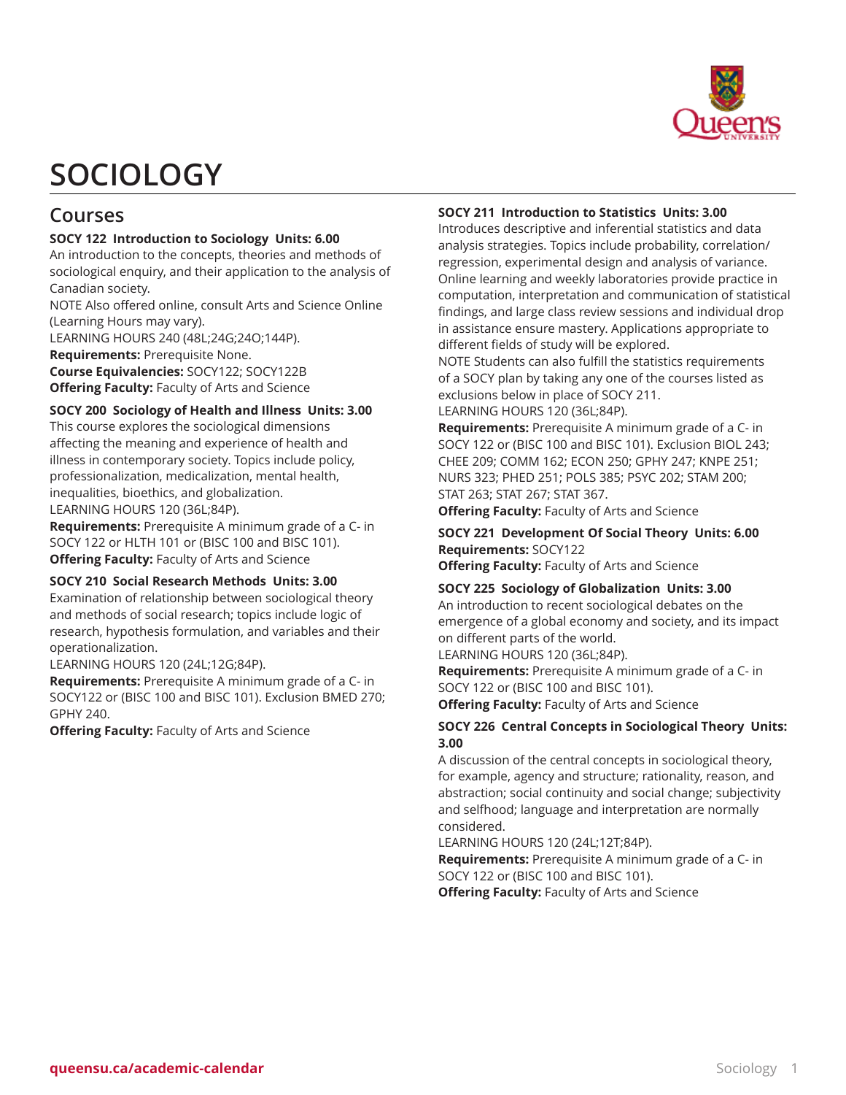

# **SOCIOLOGY**

# **Courses**

# **SOCY 122 Introduction to Sociology Units: 6.00**

An introduction to the concepts, theories and methods of sociological enquiry, and their application to the analysis of Canadian society.

NOTE Also offered online, consult Arts and Science Online (Learning Hours may vary).

LEARNING HOURS 240 (48L;24G;24O;144P).

**Requirements:** Prerequisite None.

**Course Equivalencies:** SOCY122; SOCY122B **Offering Faculty:** Faculty of Arts and Science

**SOCY 200 Sociology of Health and Illness Units: 3.00**

This course explores the sociological dimensions affecting the meaning and experience of health and illness in contemporary society. Topics include policy, professionalization, medicalization, mental health, inequalities, bioethics, and globalization. LEARNING HOURS 120 (36L;84P).

**Requirements:** Prerequisite A minimum grade of a C- in SOCY 122 or HLTH 101 or (BISC 100 and BISC 101). **Offering Faculty:** Faculty of Arts and Science

#### **SOCY 210 Social Research Methods Units: 3.00**

Examination of relationship between sociological theory and methods of social research; topics include logic of research, hypothesis formulation, and variables and their operationalization.

LEARNING HOURS 120 (24L;12G;84P).

**Requirements:** Prerequisite A minimum grade of a C- in SOCY122 or (BISC 100 and BISC 101). Exclusion BMED 270; GPHY 240.

**Offering Faculty:** Faculty of Arts and Science

# **SOCY 211 Introduction to Statistics Units: 3.00**

Introduces descriptive and inferential statistics and data analysis strategies. Topics include probability, correlation/ regression, experimental design and analysis of variance. Online learning and weekly laboratories provide practice in computation, interpretation and communication of statistical findings, and large class review sessions and individual drop in assistance ensure mastery. Applications appropriate to different fields of study will be explored.

NOTE Students can also fulfill the statistics requirements of a SOCY plan by taking any one of the courses listed as exclusions below in place of SOCY 211.

LEARNING HOURS 120 (36L;84P).

**Requirements:** Prerequisite A minimum grade of a C- in SOCY 122 or (BISC 100 and BISC 101). Exclusion BIOL 243; CHEE 209; COMM 162; ECON 250; GPHY 247; KNPE 251; NURS 323; PHED 251; POLS 385; PSYC 202; STAM 200; STAT 263; STAT 267; STAT 367.

**Offering Faculty:** Faculty of Arts and Science

# **SOCY 221 Development Of Social Theory Units: 6.00 Requirements:** SOCY122

**Offering Faculty:** Faculty of Arts and Science

# **SOCY 225 Sociology of Globalization Units: 3.00**

An introduction to recent sociological debates on the emergence of a global economy and society, and its impact on different parts of the world.

LEARNING HOURS 120 (36L;84P).

**Requirements:** Prerequisite A minimum grade of a C- in SOCY 122 or (BISC 100 and BISC 101).

**Offering Faculty:** Faculty of Arts and Science

# **SOCY 226 Central Concepts in Sociological Theory Units: 3.00**

A discussion of the central concepts in sociological theory, for example, agency and structure; rationality, reason, and abstraction; social continuity and social change; subjectivity and selfhood; language and interpretation are normally considered.

LEARNING HOURS 120 (24L;12T;84P).

**Requirements:** Prerequisite A minimum grade of a C- in SOCY 122 or (BISC 100 and BISC 101). **Offering Faculty:** Faculty of Arts and Science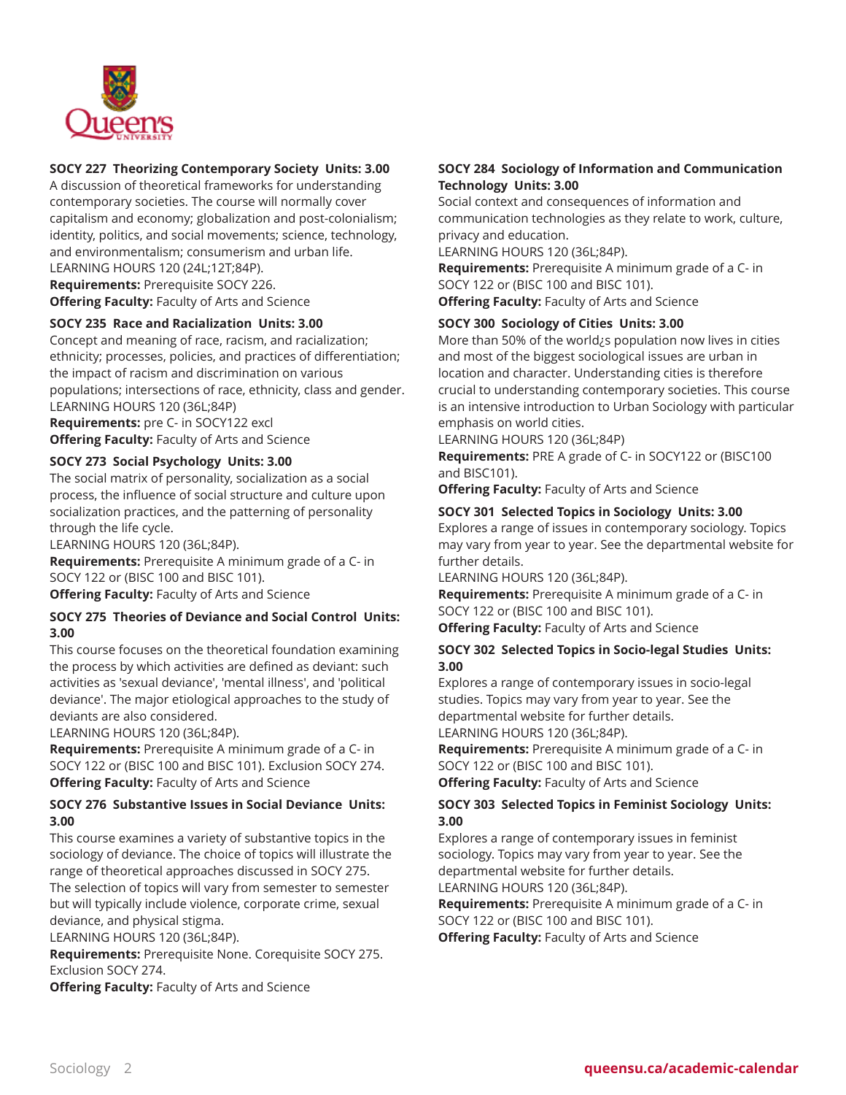

# **SOCY 227 Theorizing Contemporary Society Units: 3.00**

A discussion of theoretical frameworks for understanding contemporary societies. The course will normally cover capitalism and economy; globalization and post-colonialism; identity, politics, and social movements; science, technology, and environmentalism; consumerism and urban life. LEARNING HOURS 120 (24L;12T;84P).

**Requirements:** Prerequisite SOCY 226. **Offering Faculty:** Faculty of Arts and Science

# **SOCY 235 Race and Racialization Units: 3.00**

Concept and meaning of race, racism, and racialization; ethnicity; processes, policies, and practices of differentiation; the impact of racism and discrimination on various populations; intersections of race, ethnicity, class and gender. LEARNING HOURS 120 (36L;84P)

**Requirements:** pre C- in SOCY122 excl **Offering Faculty:** Faculty of Arts and Science

# **SOCY 273 Social Psychology Units: 3.00**

The social matrix of personality, socialization as a social process, the influence of social structure and culture upon socialization practices, and the patterning of personality through the life cycle.

LEARNING HOURS 120 (36L;84P).

**Requirements:** Prerequisite A minimum grade of a C- in SOCY 122 or (BISC 100 and BISC 101).

**Offering Faculty:** Faculty of Arts and Science

#### **SOCY 275 Theories of Deviance and Social Control Units: 3.00**

This course focuses on the theoretical foundation examining the process by which activities are defined as deviant: such activities as 'sexual deviance', 'mental illness', and 'political deviance'. The major etiological approaches to the study of deviants are also considered.

LEARNING HOURS 120 (36L;84P).

**Requirements:** Prerequisite A minimum grade of a C- in SOCY 122 or (BISC 100 and BISC 101). Exclusion SOCY 274. **Offering Faculty:** Faculty of Arts and Science

#### **SOCY 276 Substantive Issues in Social Deviance Units: 3.00**

This course examines a variety of substantive topics in the sociology of deviance. The choice of topics will illustrate the range of theoretical approaches discussed in SOCY 275. The selection of topics will vary from semester to semester but will typically include violence, corporate crime, sexual deviance, and physical stigma.

LEARNING HOURS 120 (36L;84P).

**Requirements:** Prerequisite None. Corequisite SOCY 275. Exclusion SOCY 274.

**Offering Faculty:** Faculty of Arts and Science

# **SOCY 284 Sociology of Information and Communication Technology Units: 3.00**

Social context and consequences of information and communication technologies as they relate to work, culture, privacy and education.

LEARNING HOURS 120 (36L;84P).

**Requirements:** Prerequisite A minimum grade of a C- in SOCY 122 or (BISC 100 and BISC 101).

**Offering Faculty:** Faculty of Arts and Science

# **SOCY 300 Sociology of Cities Units: 3.00**

More than 50% of the world¿s population now lives in cities and most of the biggest sociological issues are urban in location and character. Understanding cities is therefore crucial to understanding contemporary societies. This course is an intensive introduction to Urban Sociology with particular emphasis on world cities.

LEARNING HOURS 120 (36L;84P)

**Requirements:** PRE A grade of C- in SOCY122 or (BISC100 and BISC101).

**Offering Faculty:** Faculty of Arts and Science

#### **SOCY 301 Selected Topics in Sociology Units: 3.00**

Explores a range of issues in contemporary sociology. Topics may vary from year to year. See the departmental website for further details.

LEARNING HOURS 120 (36L;84P).

**Requirements:** Prerequisite A minimum grade of a C- in SOCY 122 or (BISC 100 and BISC 101).

**Offering Faculty:** Faculty of Arts and Science

#### **SOCY 302 Selected Topics in Socio-legal Studies Units: 3.00**

Explores a range of contemporary issues in socio-legal studies. Topics may vary from year to year. See the departmental website for further details. LEARNING HOURS 120 (36L;84P).

**Requirements:** Prerequisite A minimum grade of a C- in SOCY 122 or (BISC 100 and BISC 101).

**Offering Faculty:** Faculty of Arts and Science

# **SOCY 303 Selected Topics in Feminist Sociology Units: 3.00**

Explores a range of contemporary issues in feminist sociology. Topics may vary from year to year. See the departmental website for further details. LEARNING HOURS 120 (36L;84P).

**Requirements:** Prerequisite A minimum grade of a C- in SOCY 122 or (BISC 100 and BISC 101).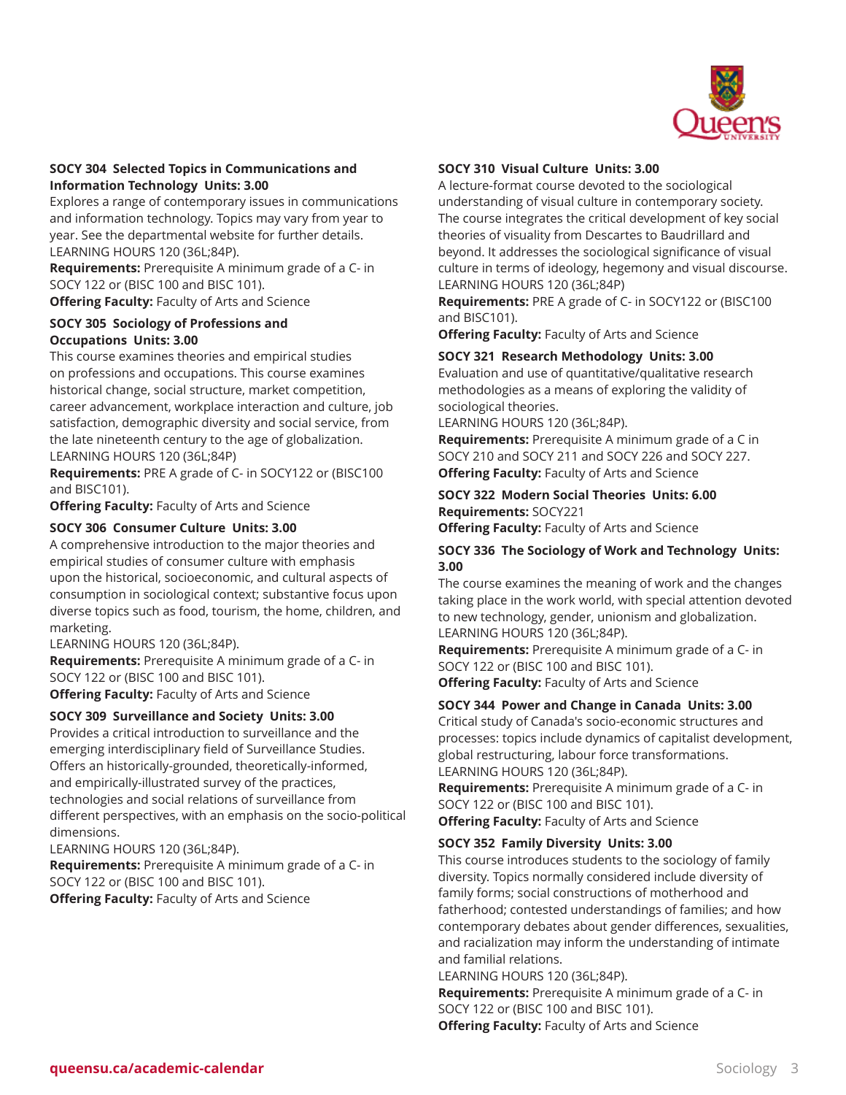

# **SOCY 304 Selected Topics in Communications and Information Technology Units: 3.00**

Explores a range of contemporary issues in communications and information technology. Topics may vary from year to year. See the departmental website for further details. LEARNING HOURS 120 (36L;84P).

**Requirements:** Prerequisite A minimum grade of a C- in SOCY 122 or (BISC 100 and BISC 101). **Offering Faculty:** Faculty of Arts and Science

# **SOCY 305 Sociology of Professions and Occupations Units: 3.00**

This course examines theories and empirical studies on professions and occupations. This course examines historical change, social structure, market competition, career advancement, workplace interaction and culture, job satisfaction, demographic diversity and social service, from the late nineteenth century to the age of globalization. LEARNING HOURS 120 (36L;84P)

**Requirements:** PRE A grade of C- in SOCY122 or (BISC100 and BISC101).

**Offering Faculty:** Faculty of Arts and Science

# **SOCY 306 Consumer Culture Units: 3.00**

A comprehensive introduction to the major theories and empirical studies of consumer culture with emphasis upon the historical, socioeconomic, and cultural aspects of consumption in sociological context; substantive focus upon diverse topics such as food, tourism, the home, children, and marketing.

LEARNING HOURS 120 (36L;84P).

**Requirements:** Prerequisite A minimum grade of a C- in SOCY 122 or (BISC 100 and BISC 101). **Offering Faculty:** Faculty of Arts and Science

# **SOCY 309 Surveillance and Society Units: 3.00**

Provides a critical introduction to surveillance and the emerging interdisciplinary field of Surveillance Studies. Offers an historically-grounded, theoretically-informed, and empirically-illustrated survey of the practices, technologies and social relations of surveillance from different perspectives, with an emphasis on the socio-political dimensions.

LEARNING HOURS 120 (36L;84P).

**Requirements:** Prerequisite A minimum grade of a C- in SOCY 122 or (BISC 100 and BISC 101). **Offering Faculty:** Faculty of Arts and Science

# **SOCY 310 Visual Culture Units: 3.00**

A lecture-format course devoted to the sociological understanding of visual culture in contemporary society. The course integrates the critical development of key social theories of visuality from Descartes to Baudrillard and beyond. It addresses the sociological significance of visual culture in terms of ideology, hegemony and visual discourse. LEARNING HOURS 120 (36L;84P)

**Requirements:** PRE A grade of C- in SOCY122 or (BISC100 and BISC101).

**Offering Faculty:** Faculty of Arts and Science

# **SOCY 321 Research Methodology Units: 3.00**

Evaluation and use of quantitative/qualitative research methodologies as a means of exploring the validity of sociological theories.

LEARNING HOURS 120 (36L;84P).

**Requirements:** Prerequisite A minimum grade of a C in SOCY 210 and SOCY 211 and SOCY 226 and SOCY 227. **Offering Faculty:** Faculty of Arts and Science

# **SOCY 322 Modern Social Theories Units: 6.00 Requirements:** SOCY221

**Offering Faculty:** Faculty of Arts and Science

#### **SOCY 336 The Sociology of Work and Technology Units: 3.00**

The course examines the meaning of work and the changes taking place in the work world, with special attention devoted to new technology, gender, unionism and globalization. LEARNING HOURS 120 (36L;84P).

**Requirements:** Prerequisite A minimum grade of a C- in SOCY 122 or (BISC 100 and BISC 101).

**Offering Faculty:** Faculty of Arts and Science

#### **SOCY 344 Power and Change in Canada Units: 3.00**

Critical study of Canada's socio-economic structures and processes: topics include dynamics of capitalist development, global restructuring, labour force transformations. LEARNING HOURS 120 (36L;84P).

**Requirements:** Prerequisite A minimum grade of a C- in SOCY 122 or (BISC 100 and BISC 101).

**Offering Faculty:** Faculty of Arts and Science

#### **SOCY 352 Family Diversity Units: 3.00**

This course introduces students to the sociology of family diversity. Topics normally considered include diversity of family forms; social constructions of motherhood and fatherhood; contested understandings of families; and how contemporary debates about gender differences, sexualities, and racialization may inform the understanding of intimate and familial relations.

LEARNING HOURS 120 (36L;84P).

**Requirements:** Prerequisite A minimum grade of a C- in SOCY 122 or (BISC 100 and BISC 101).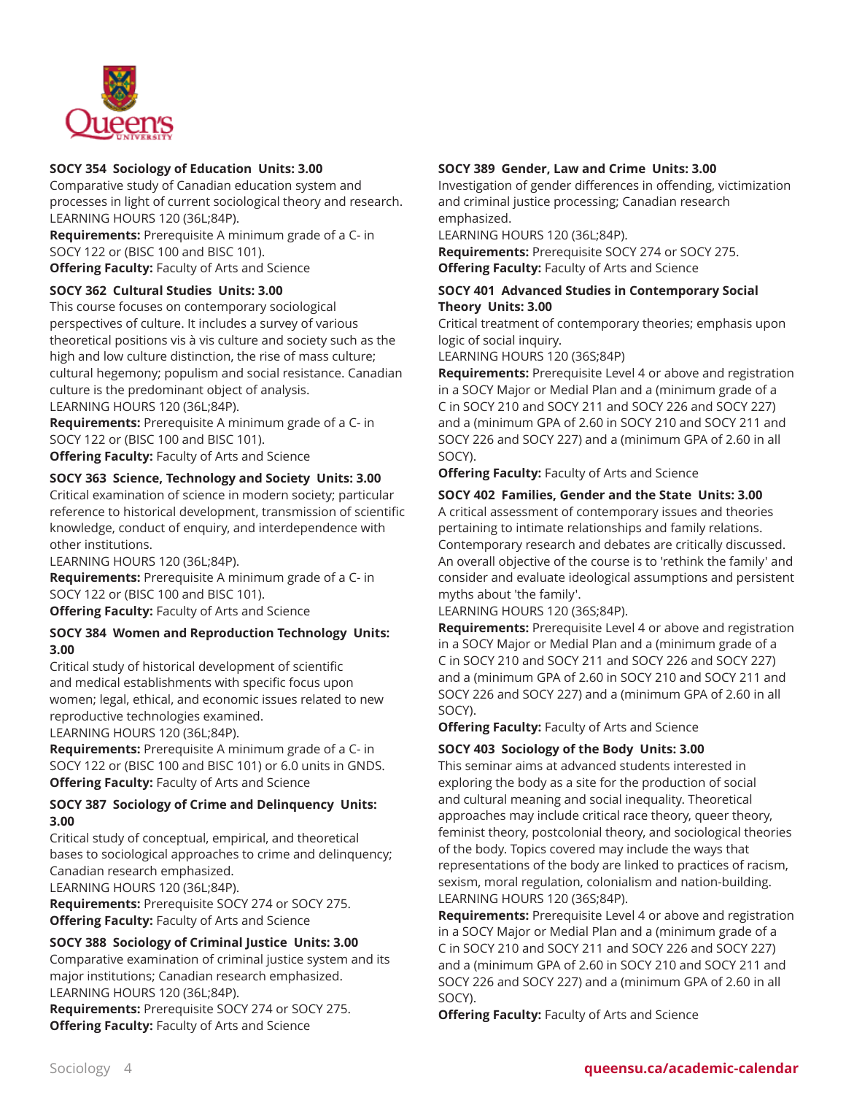

# **SOCY 354 Sociology of Education Units: 3.00**

Comparative study of Canadian education system and processes in light of current sociological theory and research. LEARNING HOURS 120 (36L;84P).

**Requirements:** Prerequisite A minimum grade of a C- in SOCY 122 or (BISC 100 and BISC 101). **Offering Faculty:** Faculty of Arts and Science

#### **SOCY 362 Cultural Studies Units: 3.00**

This course focuses on contemporary sociological perspectives of culture. It includes a survey of various theoretical positions vis à vis culture and society such as the high and low culture distinction, the rise of mass culture; cultural hegemony; populism and social resistance. Canadian culture is the predominant object of analysis. LEARNING HOURS 120 (36L;84P).

**Requirements:** Prerequisite A minimum grade of a C- in SOCY 122 or (BISC 100 and BISC 101).

**Offering Faculty:** Faculty of Arts and Science

# **SOCY 363 Science, Technology and Society Units: 3.00**

Critical examination of science in modern society; particular reference to historical development, transmission of scientific knowledge, conduct of enquiry, and interdependence with other institutions.

LEARNING HOURS 120 (36L;84P).

**Requirements:** Prerequisite A minimum grade of a C- in SOCY 122 or (BISC 100 and BISC 101).

**Offering Faculty:** Faculty of Arts and Science

#### **SOCY 384 Women and Reproduction Technology Units: 3.00**

Critical study of historical development of scientific and medical establishments with specific focus upon women; legal, ethical, and economic issues related to new reproductive technologies examined.

LEARNING HOURS 120 (36L;84P).

**Requirements:** Prerequisite A minimum grade of a C- in SOCY 122 or (BISC 100 and BISC 101) or 6.0 units in GNDS. **Offering Faculty:** Faculty of Arts and Science

#### **SOCY 387 Sociology of Crime and Delinquency Units: 3.00**

Critical study of conceptual, empirical, and theoretical bases to sociological approaches to crime and delinquency; Canadian research emphasized.

LEARNING HOURS 120 (36L;84P).

**Requirements:** Prerequisite SOCY 274 or SOCY 275. **Offering Faculty:** Faculty of Arts and Science

# **SOCY 388 Sociology of Criminal Justice Units: 3.00**

Comparative examination of criminal justice system and its major institutions; Canadian research emphasized. LEARNING HOURS 120 (36L;84P).

**Requirements:** Prerequisite SOCY 274 or SOCY 275. **Offering Faculty:** Faculty of Arts and Science

# **SOCY 389 Gender, Law and Crime Units: 3.00**

Investigation of gender differences in offending, victimization and criminal justice processing; Canadian research emphasized.

LEARNING HOURS 120 (36L;84P).

**Requirements:** Prerequisite SOCY 274 or SOCY 275. **Offering Faculty:** Faculty of Arts and Science

# **SOCY 401 Advanced Studies in Contemporary Social Theory Units: 3.00**

Critical treatment of contemporary theories; emphasis upon logic of social inquiry.

LEARNING HOURS 120 (36S;84P)

**Requirements:** Prerequisite Level 4 or above and registration in a SOCY Major or Medial Plan and a (minimum grade of a C in SOCY 210 and SOCY 211 and SOCY 226 and SOCY 227) and a (minimum GPA of 2.60 in SOCY 210 and SOCY 211 and SOCY 226 and SOCY 227) and a (minimum GPA of 2.60 in all SOCY).

**Offering Faculty:** Faculty of Arts and Science

# **SOCY 402 Families, Gender and the State Units: 3.00**

A critical assessment of contemporary issues and theories pertaining to intimate relationships and family relations. Contemporary research and debates are critically discussed. An overall objective of the course is to 'rethink the family' and consider and evaluate ideological assumptions and persistent myths about 'the family'.

LEARNING HOURS 120 (36S;84P).

**Requirements:** Prerequisite Level 4 or above and registration in a SOCY Major or Medial Plan and a (minimum grade of a C in SOCY 210 and SOCY 211 and SOCY 226 and SOCY 227) and a (minimum GPA of 2.60 in SOCY 210 and SOCY 211 and SOCY 226 and SOCY 227) and a (minimum GPA of 2.60 in all SOCY).

**Offering Faculty:** Faculty of Arts and Science

#### **SOCY 403 Sociology of the Body Units: 3.00**

This seminar aims at advanced students interested in exploring the body as a site for the production of social and cultural meaning and social inequality. Theoretical approaches may include critical race theory, queer theory, feminist theory, postcolonial theory, and sociological theories of the body. Topics covered may include the ways that representations of the body are linked to practices of racism, sexism, moral regulation, colonialism and nation-building. LEARNING HOURS 120 (36S;84P).

**Requirements:** Prerequisite Level 4 or above and registration in a SOCY Major or Medial Plan and a (minimum grade of a C in SOCY 210 and SOCY 211 and SOCY 226 and SOCY 227) and a (minimum GPA of 2.60 in SOCY 210 and SOCY 211 and SOCY 226 and SOCY 227) and a (minimum GPA of 2.60 in all SOCY).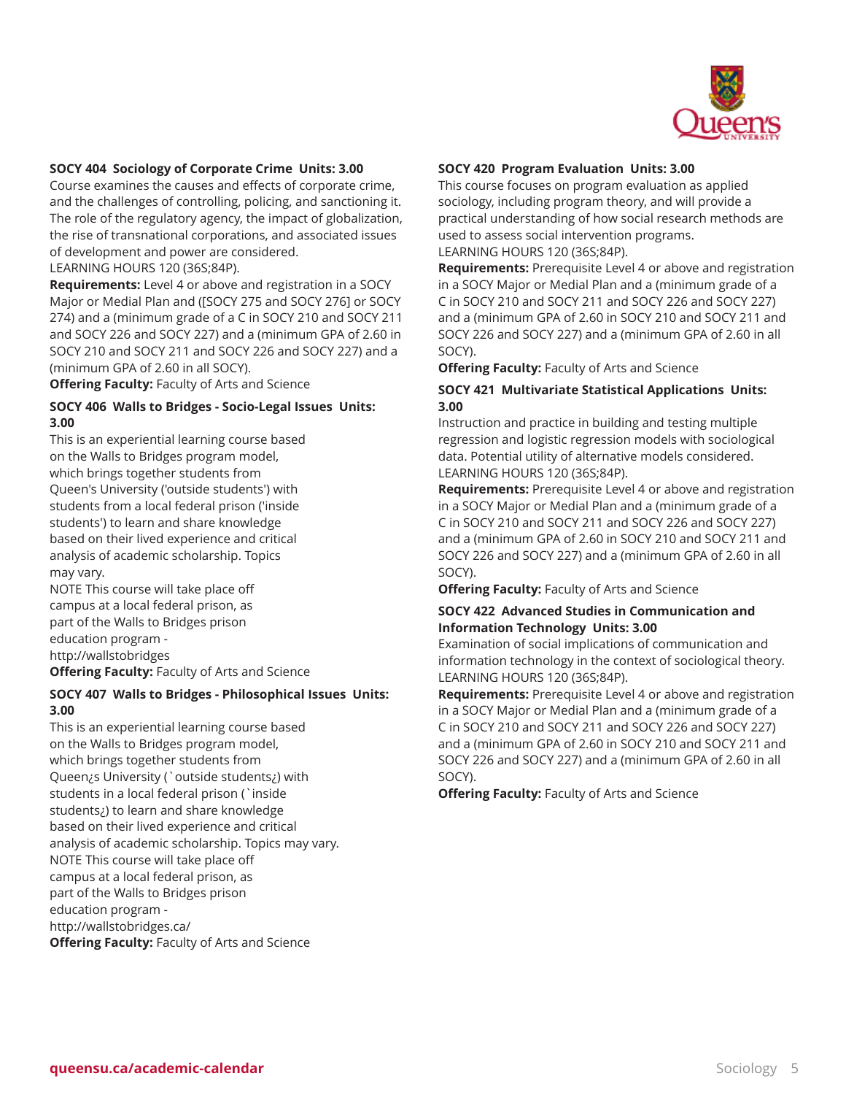

#### **SOCY 404 Sociology of Corporate Crime Units: 3.00**

Course examines the causes and effects of corporate crime, and the challenges of controlling, policing, and sanctioning it. The role of the regulatory agency, the impact of globalization, the rise of transnational corporations, and associated issues of development and power are considered.

LEARNING HOURS 120 (36S;84P).

**Requirements:** Level 4 or above and registration in a SOCY Major or Medial Plan and ([SOCY 275 and SOCY 276] or SOCY 274) and a (minimum grade of a C in SOCY 210 and SOCY 211 and SOCY 226 and SOCY 227) and a (minimum GPA of 2.60 in SOCY 210 and SOCY 211 and SOCY 226 and SOCY 227) and a (minimum GPA of 2.60 in all SOCY).

**Offering Faculty:** Faculty of Arts and Science

#### **SOCY 406 Walls to Bridges - Socio-Legal Issues Units: 3.00**

This is an experiential learning course based on the Walls to Bridges program model, which brings together students from Queen's University ('outside students') with students from a local federal prison ('inside students') to learn and share knowledge based on their lived experience and critical analysis of academic scholarship. Topics may vary.

NOTE This course will take place off campus at a local federal prison, as part of the Walls to Bridges prison education program http://wallstobridges **Offering Faculty:** Faculty of Arts and Science

#### **SOCY 407 Walls to Bridges - Philosophical Issues Units: 3.00**

This is an experiential learning course based on the Walls to Bridges program model, which brings together students from Queen¿s University (`outside students¿) with students in a local federal prison (`inside students¿) to learn and share knowledge based on their lived experience and critical analysis of academic scholarship. Topics may vary. NOTE This course will take place off campus at a local federal prison, as part of the Walls to Bridges prison education program http://wallstobridges.ca/ **Offering Faculty:** Faculty of Arts and Science

#### **SOCY 420 Program Evaluation Units: 3.00**

This course focuses on program evaluation as applied sociology, including program theory, and will provide a practical understanding of how social research methods are used to assess social intervention programs.

LEARNING HOURS 120 (36S;84P).

**Requirements:** Prerequisite Level 4 or above and registration in a SOCY Major or Medial Plan and a (minimum grade of a C in SOCY 210 and SOCY 211 and SOCY 226 and SOCY 227) and a (minimum GPA of 2.60 in SOCY 210 and SOCY 211 and SOCY 226 and SOCY 227) and a (minimum GPA of 2.60 in all SOCY).

**Offering Faculty:** Faculty of Arts and Science

#### **SOCY 421 Multivariate Statistical Applications Units: 3.00**

Instruction and practice in building and testing multiple regression and logistic regression models with sociological data. Potential utility of alternative models considered. LEARNING HOURS 120 (36S;84P).

**Requirements:** Prerequisite Level 4 or above and registration in a SOCY Major or Medial Plan and a (minimum grade of a C in SOCY 210 and SOCY 211 and SOCY 226 and SOCY 227) and a (minimum GPA of 2.60 in SOCY 210 and SOCY 211 and SOCY 226 and SOCY 227) and a (minimum GPA of 2.60 in all SOCY).

**Offering Faculty:** Faculty of Arts and Science

#### **SOCY 422 Advanced Studies in Communication and Information Technology Units: 3.00**

Examination of social implications of communication and information technology in the context of sociological theory. LEARNING HOURS 120 (36S;84P).

**Requirements:** Prerequisite Level 4 or above and registration in a SOCY Major or Medial Plan and a (minimum grade of a C in SOCY 210 and SOCY 211 and SOCY 226 and SOCY 227) and a (minimum GPA of 2.60 in SOCY 210 and SOCY 211 and SOCY 226 and SOCY 227) and a (minimum GPA of 2.60 in all SOCY).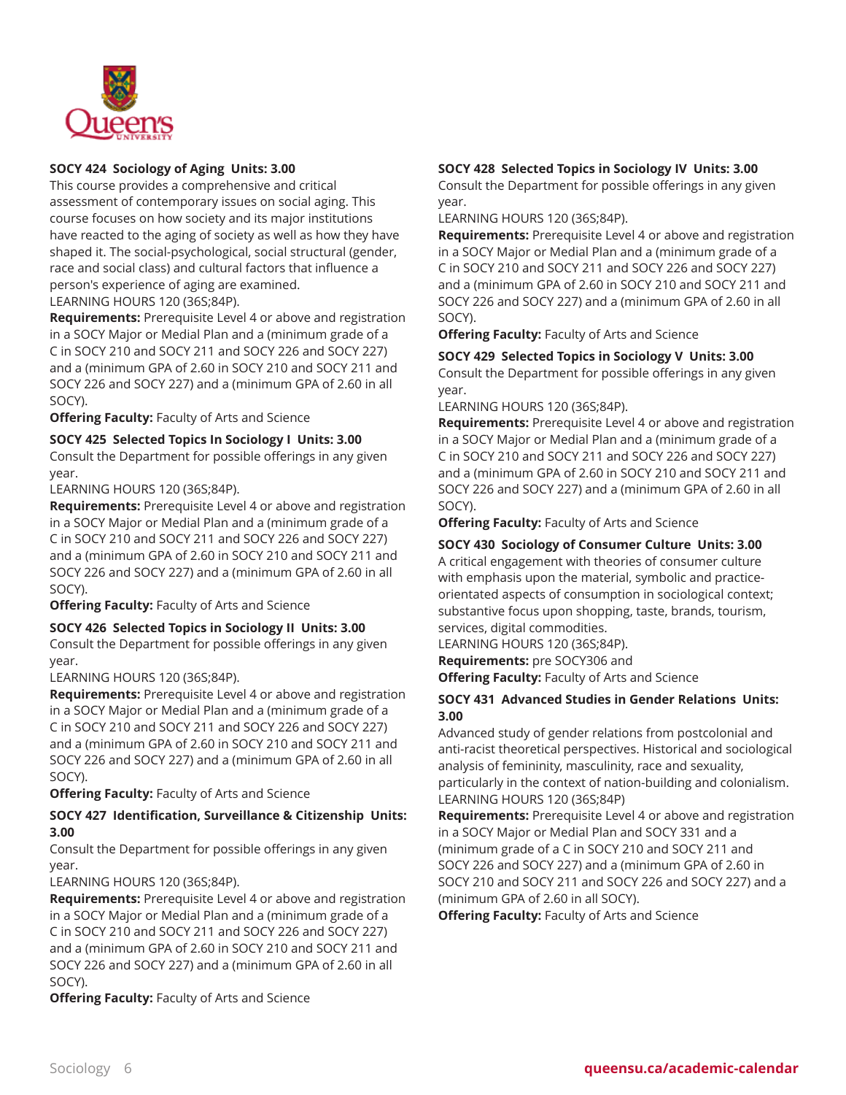

# **SOCY 424 Sociology of Aging Units: 3.00**

This course provides a comprehensive and critical assessment of contemporary issues on social aging. This course focuses on how society and its major institutions have reacted to the aging of society as well as how they have shaped it. The social-psychological, social structural (gender, race and social class) and cultural factors that influence a person's experience of aging are examined. LEARNING HOURS 120 (36S;84P).

**Requirements:** Prerequisite Level 4 or above and registration

in a SOCY Major or Medial Plan and a (minimum grade of a C in SOCY 210 and SOCY 211 and SOCY 226 and SOCY 227) and a (minimum GPA of 2.60 in SOCY 210 and SOCY 211 and SOCY 226 and SOCY 227) and a (minimum GPA of 2.60 in all SOCY).

**Offering Faculty:** Faculty of Arts and Science

**SOCY 425 Selected Topics In Sociology I Units: 3.00**

Consult the Department for possible offerings in any given year.

LEARNING HOURS 120 (36S;84P).

**Requirements:** Prerequisite Level 4 or above and registration in a SOCY Major or Medial Plan and a (minimum grade of a C in SOCY 210 and SOCY 211 and SOCY 226 and SOCY 227) and a (minimum GPA of 2.60 in SOCY 210 and SOCY 211 and SOCY 226 and SOCY 227) and a (minimum GPA of 2.60 in all SOCY).

**Offering Faculty:** Faculty of Arts and Science

#### **SOCY 426 Selected Topics in Sociology II Units: 3.00**

Consult the Department for possible offerings in any given year.

LEARNING HOURS 120 (36S;84P).

**Requirements:** Prerequisite Level 4 or above and registration in a SOCY Major or Medial Plan and a (minimum grade of a C in SOCY 210 and SOCY 211 and SOCY 226 and SOCY 227) and a (minimum GPA of 2.60 in SOCY 210 and SOCY 211 and SOCY 226 and SOCY 227) and a (minimum GPA of 2.60 in all SOCY).

**Offering Faculty:** Faculty of Arts and Science

# **SOCY 427 Identification, Surveillance & Citizenship Units: 3.00**

Consult the Department for possible offerings in any given year.

LEARNING HOURS 120 (36S;84P).

**Requirements:** Prerequisite Level 4 or above and registration in a SOCY Major or Medial Plan and a (minimum grade of a C in SOCY 210 and SOCY 211 and SOCY 226 and SOCY 227) and a (minimum GPA of 2.60 in SOCY 210 and SOCY 211 and SOCY 226 and SOCY 227) and a (minimum GPA of 2.60 in all SOCY).

**Offering Faculty:** Faculty of Arts and Science

# **SOCY 428 Selected Topics in Sociology IV Units: 3.00**

Consult the Department for possible offerings in any given year.

LEARNING HOURS 120 (36S;84P).

**Requirements:** Prerequisite Level 4 or above and registration in a SOCY Major or Medial Plan and a (minimum grade of a C in SOCY 210 and SOCY 211 and SOCY 226 and SOCY 227) and a (minimum GPA of 2.60 in SOCY 210 and SOCY 211 and SOCY 226 and SOCY 227) and a (minimum GPA of 2.60 in all SOCY).

**Offering Faculty:** Faculty of Arts and Science

**SOCY 429 Selected Topics in Sociology V Units: 3.00** Consult the Department for possible offerings in any given year.

LEARNING HOURS 120 (36S;84P).

**Requirements:** Prerequisite Level 4 or above and registration in a SOCY Major or Medial Plan and a (minimum grade of a C in SOCY 210 and SOCY 211 and SOCY 226 and SOCY 227) and a (minimum GPA of 2.60 in SOCY 210 and SOCY 211 and SOCY 226 and SOCY 227) and a (minimum GPA of 2.60 in all SOCY).

**Offering Faculty:** Faculty of Arts and Science

# **SOCY 430 Sociology of Consumer Culture Units: 3.00**

A critical engagement with theories of consumer culture with emphasis upon the material, symbolic and practiceorientated aspects of consumption in sociological context; substantive focus upon shopping, taste, brands, tourism, services, digital commodities.

LEARNING HOURS 120 (36S;84P). **Requirements:** pre SOCY306 and

**Offering Faculty:** Faculty of Arts and Science

# **SOCY 431 Advanced Studies in Gender Relations Units: 3.00**

Advanced study of gender relations from postcolonial and anti-racist theoretical perspectives. Historical and sociological analysis of femininity, masculinity, race and sexuality, particularly in the context of nation-building and colonialism. LEARNING HOURS 120 (36S;84P)

**Requirements:** Prerequisite Level 4 or above and registration in a SOCY Major or Medial Plan and SOCY 331 and a (minimum grade of a C in SOCY 210 and SOCY 211 and SOCY 226 and SOCY 227) and a (minimum GPA of 2.60 in SOCY 210 and SOCY 211 and SOCY 226 and SOCY 227) and a (minimum GPA of 2.60 in all SOCY).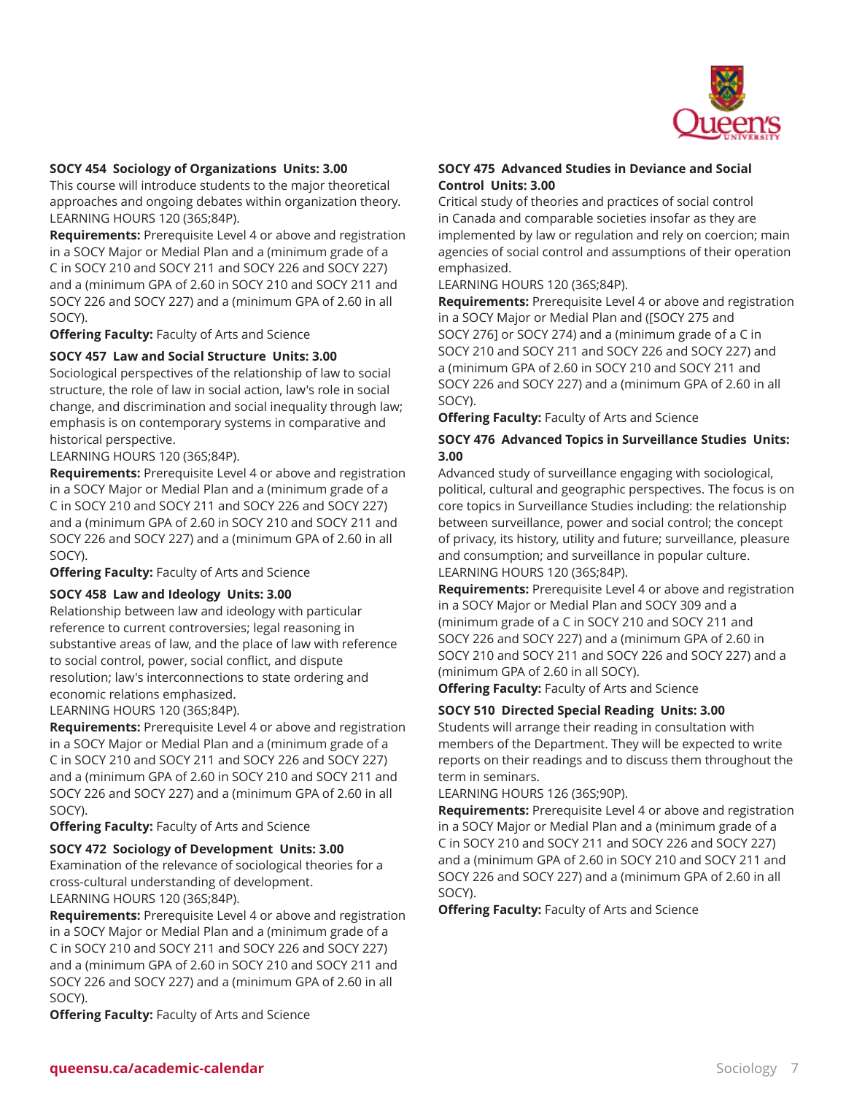

#### **SOCY 454 Sociology of Organizations Units: 3.00**

This course will introduce students to the major theoretical approaches and ongoing debates within organization theory. LEARNING HOURS 120 (36S;84P).

**Requirements:** Prerequisite Level 4 or above and registration in a SOCY Major or Medial Plan and a (minimum grade of a C in SOCY 210 and SOCY 211 and SOCY 226 and SOCY 227) and a (minimum GPA of 2.60 in SOCY 210 and SOCY 211 and SOCY 226 and SOCY 227) and a (minimum GPA of 2.60 in all SOCY).

**Offering Faculty:** Faculty of Arts and Science

# **SOCY 457 Law and Social Structure Units: 3.00**

Sociological perspectives of the relationship of law to social structure, the role of law in social action, law's role in social change, and discrimination and social inequality through law; emphasis is on contemporary systems in comparative and historical perspective.

LEARNING HOURS 120 (36S;84P).

**Requirements:** Prerequisite Level 4 or above and registration in a SOCY Major or Medial Plan and a (minimum grade of a C in SOCY 210 and SOCY 211 and SOCY 226 and SOCY 227) and a (minimum GPA of 2.60 in SOCY 210 and SOCY 211 and SOCY 226 and SOCY 227) and a (minimum GPA of 2.60 in all SOCY).

**Offering Faculty:** Faculty of Arts and Science

#### **SOCY 458 Law and Ideology Units: 3.00**

Relationship between law and ideology with particular reference to current controversies; legal reasoning in substantive areas of law, and the place of law with reference to social control, power, social conflict, and dispute resolution; law's interconnections to state ordering and economic relations emphasized.

LEARNING HOURS 120 (36S;84P).

**Requirements:** Prerequisite Level 4 or above and registration in a SOCY Major or Medial Plan and a (minimum grade of a C in SOCY 210 and SOCY 211 and SOCY 226 and SOCY 227) and a (minimum GPA of 2.60 in SOCY 210 and SOCY 211 and SOCY 226 and SOCY 227) and a (minimum GPA of 2.60 in all SOCY).

**Offering Faculty:** Faculty of Arts and Science

#### **SOCY 472 Sociology of Development Units: 3.00**

Examination of the relevance of sociological theories for a cross-cultural understanding of development. LEARNING HOURS 120 (36S;84P).

**Requirements:** Prerequisite Level 4 or above and registration in a SOCY Major or Medial Plan and a (minimum grade of a C in SOCY 210 and SOCY 211 and SOCY 226 and SOCY 227) and a (minimum GPA of 2.60 in SOCY 210 and SOCY 211 and SOCY 226 and SOCY 227) and a (minimum GPA of 2.60 in all SOCY).

**SOCY 475 Advanced Studies in Deviance and Social Control Units: 3.00**

Critical study of theories and practices of social control in Canada and comparable societies insofar as they are implemented by law or regulation and rely on coercion; main agencies of social control and assumptions of their operation emphasized.

LEARNING HOURS 120 (36S;84P).

**Requirements:** Prerequisite Level 4 or above and registration in a SOCY Major or Medial Plan and ([SOCY 275 and SOCY 276] or SOCY 274) and a (minimum grade of a C in SOCY 210 and SOCY 211 and SOCY 226 and SOCY 227) and a (minimum GPA of 2.60 in SOCY 210 and SOCY 211 and SOCY 226 and SOCY 227) and a (minimum GPA of 2.60 in all SOCY).

**Offering Faculty:** Faculty of Arts and Science

# **SOCY 476 Advanced Topics in Surveillance Studies Units: 3.00**

Advanced study of surveillance engaging with sociological, political, cultural and geographic perspectives. The focus is on core topics in Surveillance Studies including: the relationship between surveillance, power and social control; the concept of privacy, its history, utility and future; surveillance, pleasure and consumption; and surveillance in popular culture. LEARNING HOURS 120 (36S;84P).

**Requirements:** Prerequisite Level 4 or above and registration in a SOCY Major or Medial Plan and SOCY 309 and a (minimum grade of a C in SOCY 210 and SOCY 211 and SOCY 226 and SOCY 227) and a (minimum GPA of 2.60 in SOCY 210 and SOCY 211 and SOCY 226 and SOCY 227) and a (minimum GPA of 2.60 in all SOCY).

**Offering Faculty:** Faculty of Arts and Science

**SOCY 510 Directed Special Reading Units: 3.00**

Students will arrange their reading in consultation with members of the Department. They will be expected to write reports on their readings and to discuss them throughout the term in seminars.

LEARNING HOURS 126 (36S;90P).

**Requirements:** Prerequisite Level 4 or above and registration in a SOCY Major or Medial Plan and a (minimum grade of a C in SOCY 210 and SOCY 211 and SOCY 226 and SOCY 227) and a (minimum GPA of 2.60 in SOCY 210 and SOCY 211 and SOCY 226 and SOCY 227) and a (minimum GPA of 2.60 in all SOCY).

**Offering Faculty:** Faculty of Arts and Science